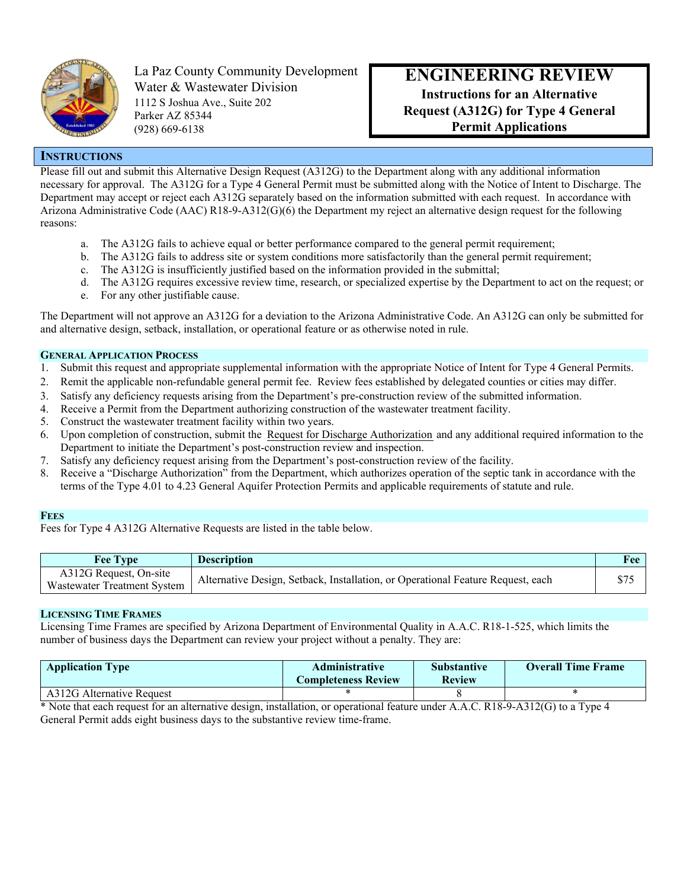

La Paz County Community Development Water & Wastewater Division 1112 S Joshua Ave., Suite 202 Parker AZ 85344 (928) 669-6138

# **ENGINEERING REVIEW**

**Instructions for an Alternative Request (A312G) for Type 4 General Permit Applications**

## **INSTRUCTIONS**

Please fill out and submit this Alternative Design Request (A312G) to the Department along with any additional information necessary for approval. The A312G for a Type 4 General Permit must be submitted along with the Notice of Intent to Discharge. The Department may accept or reject each A312G separately based on the information submitted with each request. In accordance with Arizona Administrative Code (AAC) R18-9-A312(G)(6) the Department my reject an alternative design request for the following reasons:

- a. The A312G fails to achieve equal or better performance compared to the general permit requirement;
- b. The A312G fails to address site or system conditions more satisfactorily than the general permit requirement;
- c. The A312G is insufficiently justified based on the information provided in the submittal;
- d. The A312G requires excessive review time, research, or specialized expertise by the Department to act on the request; or
- e. For any other justifiable cause.

The Department will not approve an A312G for a deviation to the Arizona Administrative Code. An A312G can only be submitted for and alternative design, setback, installation, or operational feature or as otherwise noted in rule.

#### **GENERAL APPLICATION PROCESS**

- 1. Submit this request and appropriate supplemental information with the appropriate Notice of Intent for Type 4 General Permits.
- 2. Remit the applicable non-refundable general permit fee. Review fees established by delegated counties or cities may differ.
- 3. Satisfy any deficiency requests arising from the Department's pre-construction review of the submitted information.
- 4. Receive a Permit from the Department authorizing construction of the wastewater treatment facility.
- 5. Construct the wastewater treatment facility within two years.
- 6. Upon completion of construction, submit the Request for Discharge Authorization and any additional required information to the Department to initiate the Department's post-construction review and inspection.
- 7. Satisfy any deficiency request arising from the Department's post-construction review of the facility.
- 8. Receive a "Discharge Authorization" from the Department, which authorizes operation of the septic tank in accordance with the terms of the Type 4.01 to 4.23 General Aquifer Protection Permits and applicable requirements of statute and rule.

#### **FEES**

Fees for Type 4 A312G Alternative Requests are listed in the table below.

| <b>Fee Type</b>             | <b>Description</b>                                                              | Fee   |
|-----------------------------|---------------------------------------------------------------------------------|-------|
| A312G Request, On-site      | Alternative Design, Setback, Installation, or Operational Feature Request, each | ሶማድ   |
| Wastewater Treatment System |                                                                                 | J / J |

### **LICENSING TIME FRAMES**

Licensing Time Frames are specified by Arizona Department of Environmental Quality in A.A.C. R18-1-525, which limits the number of business days the Department can review your project without a penalty. They are:

| <b>Application Type</b>   | <b>Administrative</b><br><b>Completeness Review</b> | <b>Substantive</b><br><b>Review</b> | <b>Overall Time Frame</b> |
|---------------------------|-----------------------------------------------------|-------------------------------------|---------------------------|
| A312G Alternative Request |                                                     |                                     |                           |

\* Note that each request for an alternative design, installation, or operational feature under A.A.C. R18-9-A312(G) to a Type 4 General Permit adds eight business days to the substantive review time-frame.